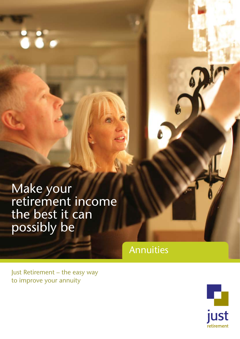Make your retirement income the best it can possibly be

 $\ddot{\bullet}\ddot{\bullet}\bullet$ 

Annuities

Just Retirement – the easy way to improve your annuity

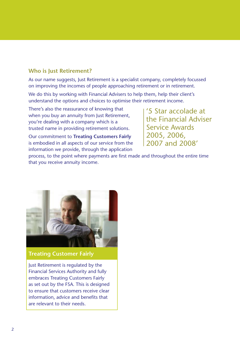## **Who is Just Retirement?**

As our name suggests, Just Retirement is a specialist company, completely focussed on improving the incomes of people approaching retirement or in retirement.

We do this by working with Financial Advisers to help them, help their client's understand the options and choices to optimise their retirement income.

There's also the reassurance of knowing that when you buy an annuity from Just Retirement, you're dealing with a company which is a trusted name in providing retirement solutions.

Our commitment to **Treating Customers Fairly** is embodied in all aspects of our service from the information we provide, through the application

'5 Star accolade at the Financial Adviser Service Awards 2005, 2006, 2007 and 2008'

process, to the point where payments are first made and throughout the entire time that you receive annuity income.



**Treating Customer Fairly**

Just Retirement is regulated by the Financial Services Authority and fully embraces Treating Customers Fairly as set out by the FSA. This is designed to ensure that customers receive clear information, advice and benefits that are relevant to their needs.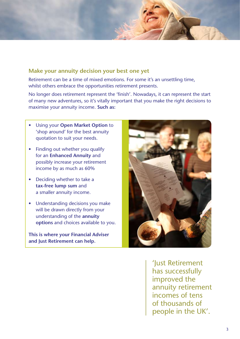

## **Make your annuity decision your best one yet**

Retirement can be a time of mixed emotions. For some it's an unsettling time, whilst others embrace the opportunities retirement presents.

No longer does retirement represent the 'finish'. Nowadays, it can represent the start of many new adventures, so it's vitally important that you make the right decisions to maximise your annuity income. **Such as:** 

- **Using your Open Market Option to** 'shop around' for the best annuity quotation to suit your needs.
- Finding out whether you qualify for an **Enhanced Annuity** and possibly increase your retirement income by as much as 60%
- Deciding whether to take a **tax-free lump sum** and a smaller annuity income.
- Understanding decisions you make will be drawn directly from your understanding of the **annuity options** and choices available to you.

**This is where your Financial Adviser and Just Retirement can help.**



'Just Retirement has successfully improved the annuity retirement incomes of tens of thousands of people in the UK'.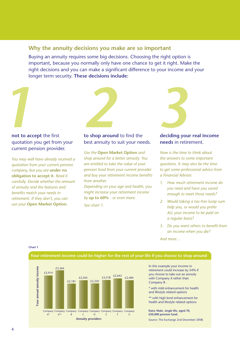## **Why the annuity decisions you make are so important**

Buying an annuity requires some big decisions. Choosing the right option is important, because you normally only have one chance to get it right. Make the right decisions and you can make a significant difference to your income and your longer term security. **These decisions include:**



### **not to accept** the first quotation you get from your current pension provider.

*You may well have already received a quotation from your current pension company, but you are* **under no obligation to accept it.** *Read it carefully. Decide whether the amount of annuity and the features and benefits match your needs in retirement. If they don't, you can use your* **Open Market Option.**

#### **to shop around** to find the best annuity to suit your needs.

*Use the* **Open Market Option** *and shop around for a better annuity. You are entitled to take the value of your pension fund from your current provider and buy your retirement income benefits from another.* 

*Depending on your age and health, you might increase your retirement income by* **up to 60%** *- or even more.*

*See chart 1.*



#### **deciding your real income needs** in retirement.

*Now is the time to think about the answers to some important questions. It may also be the time to get some professional advice from a Financial Adviser.*

- *1. How much retirement income do you need and have you saved enough to meet those needs?*
- *2. Would taking a tax-free lump sum help you, or would you prefer ALL your income to be paid on a regular basis?*
- *3. Do you want others to benefit from an income when you die?*

*And more…*

**Chart 1**



In this example your income in retirement could increase by 54% if you choose to take out an annuity with Company A rather than

\* with mild enhancement for health and lifestyle related options

\*\* with high level enhancement for health and lifestyle related options

**Data: Male, single life, aged 70,** 

Source: The Exchange 2nd December 2008.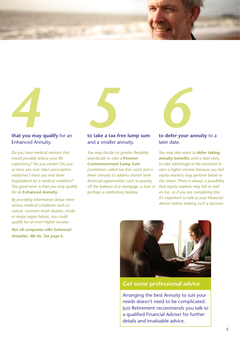

#### **that you may qualify** for an Enhanced Annuity.

*Do you have medical reasons that would possibly reduce your life expectancy? Do you smoke? Do you or have you ever taken prescription medicines? Have you ever been hospitalised for a medical condition? The good news is that you may qualify for an* **Enhanced Annuity.**

*By providing information about more serious medical conditions such as cancer, coronary heart disease, stroke or major organ failure, you could qualify for an even higher income.*

*Not all companies offer Enhanced Annuities. We do. See page 6.* 

### **to take a tax-free lump sum** and a smaller annuity.

*You may decide on greater flexibility and decide to take a* **Pension Commencement Lump Sum** *(sometimes called tax-free cash) and a lower annuity to address shorter term financial opportunities such as paying off the balance of a mortgage, a loan or perhaps a celebratory holiday.* 



#### **to defer your annuity** to a later date.

*You may also want to* **defer taking annuity benefits** *until a later date, to take advantage of the potential to earn a higher income because you feel equity markets may perform better in the future. There is always a possibility that equity markets may fall as well as rise, so if you are considering this it's important to talk to your Financial Adviser before making such a decision.*



## **Get some professional advice**

Arranging the best Annuity to suit your needs doesn't need to be complicated. Just Retirement recommends you talk to a qualified Financial Adviser for further details and invaluable advice.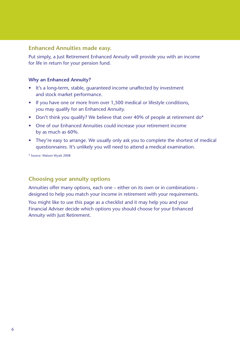## **Enhanced Annuities made easy.**

Put simply, a Just Retirement Enhanced Annuity will provide you with an income for life in return for your pension fund.

### **Why an Enhanced Annuity?**

- It's a long-term, stable, quaranteed income unaffected by investment and stock market performance.
- If you have one or more from over 1,500 medical or lifestyle conditions, you may qualify for an Enhanced Annuity.
- Don't think you qualify? We believe that over 40% of people at retirement do\*
- One of our Enhanced Annuities could increase your retirement income by as much as 60%.
- They're easy to arrange. We usually only ask you to complete the shortest of medical questionnaires. It's unlikely you will need to attend a medical examination.

\* Source: Watson Wyatt 2008

# **Choosing your annuity options**

Annuities offer many options, each one – either on its own or in combinations designed to help you match your income in retirement with your requirements.

You might like to use this page as a checklist and it may help you and your Financial Adviser decide which options you should choose for your Enhanced Annuity with Just Retirement.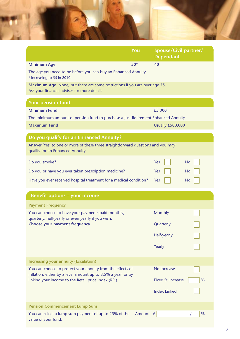

|                                                                                                                                                                                    | You      | Spouse/Civil partner/<br><b>Dependant</b> |      |  |
|------------------------------------------------------------------------------------------------------------------------------------------------------------------------------------|----------|-------------------------------------------|------|--|
| <b>Minimum Age</b>                                                                                                                                                                 | $50*$    | 40                                        |      |  |
| The age you need to be before you can buy an Enhanced Annuity<br>* Increasing to 55 in 2010.                                                                                       |          |                                           |      |  |
| Maximum Age None, but there are some restrictions if you are over age 75.<br>Ask your financial adviser for more details                                                           |          |                                           |      |  |
| <b>Your pension fund</b>                                                                                                                                                           |          |                                           |      |  |
| <b>Minimum Fund</b>                                                                                                                                                                |          | £5,000                                    |      |  |
| The minimum amount of pension fund to purchase a Just Retirement Enhanced Annuity                                                                                                  |          |                                           |      |  |
| <b>Maximum Fund</b>                                                                                                                                                                |          | Usually £500,000                          |      |  |
| Do you qualify for an Enhanced Annuity?                                                                                                                                            |          |                                           |      |  |
| Answer 'Yes' to one or more of these three straightforward questions and you may<br>qualify for an Enhanced Annuity                                                                |          |                                           |      |  |
| Do you smoke?                                                                                                                                                                      |          | Yes                                       | No   |  |
| Do you or have you ever taken prescription medicine?                                                                                                                               |          | Yes                                       | No   |  |
| Have you ever received hospital treatment for a medical condition?                                                                                                                 |          | Yes                                       | No   |  |
|                                                                                                                                                                                    |          |                                           |      |  |
| <b>Benefit options - your income</b>                                                                                                                                               |          |                                           |      |  |
| <b>Payment Frequency</b>                                                                                                                                                           |          |                                           |      |  |
| You can choose to have your payments paid monthly,<br>quarterly, half-yearly or even yearly if you wish.<br><b>Choose your payment frequency</b>                                   |          | <b>Monthly</b>                            |      |  |
|                                                                                                                                                                                    |          | Quarterly                                 |      |  |
|                                                                                                                                                                                    |          | <b>Half-yearly</b>                        |      |  |
|                                                                                                                                                                                    |          | Yearly                                    |      |  |
|                                                                                                                                                                                    |          |                                           |      |  |
| <b>Increasing your annuity (Escalation)</b>                                                                                                                                        |          |                                           |      |  |
| You can choose to protect your annuity from the effects of<br>inflation, either by a level amount up to 8.5% a year, or by<br>linking your income to the Retail price Index (RPI). |          | No Increase                               |      |  |
|                                                                                                                                                                                    |          | <b>Fixed % Increase</b>                   | $\%$ |  |
|                                                                                                                                                                                    |          | <b>Index Linked</b>                       |      |  |
| <b>Pension Commencement Lump Sum</b>                                                                                                                                               |          |                                           |      |  |
| You can select a lump sum payment of up to 25% of the<br>value of your fund.                                                                                                       | Amount £ |                                           | %    |  |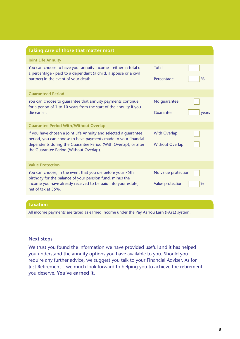| <b>Joint Life Annuity</b><br>You can choose to have your annuity income - either in total or<br><b>Total</b><br>a percentage - paid to a dependant (a child, a spouse or a civil<br>partner) in the event of your death.<br>$\frac{0}{0}$<br>Percentage<br><b>Guaranteed Period</b><br>You can choose to quarantee that annuity payments continue<br>No quarantee<br>for a period of 1 to 10 years from the start of the annuity if you<br>die earlier.<br>Guarantee<br>years<br><b>Guarantee Period With/Without Overlap</b><br><b>With Overlap</b><br>If you have chosen a Joint Life Annuity and selected a guarantee<br>period, you can choose to have payments made to your financial<br>dependents during the Guarantee Period (With Overlap), or after<br><b>Without Overlap</b><br>the Guarantee Period (Without Overlap).<br><b>Value Protection</b><br>You can choose, in the event that you die before your 75th<br>No value protection<br>birthday for the balance of your pension fund, minus the<br>income you have already received to be paid into your estate,<br>Value protection<br>$\frac{0}{0}$<br>net of tax at 35%. | Taking care of those that matter most |  |
|--------------------------------------------------------------------------------------------------------------------------------------------------------------------------------------------------------------------------------------------------------------------------------------------------------------------------------------------------------------------------------------------------------------------------------------------------------------------------------------------------------------------------------------------------------------------------------------------------------------------------------------------------------------------------------------------------------------------------------------------------------------------------------------------------------------------------------------------------------------------------------------------------------------------------------------------------------------------------------------------------------------------------------------------------------------------------------------------------------------------------------------------|---------------------------------------|--|
|                                                                                                                                                                                                                                                                                                                                                                                                                                                                                                                                                                                                                                                                                                                                                                                                                                                                                                                                                                                                                                                                                                                                            |                                       |  |
|                                                                                                                                                                                                                                                                                                                                                                                                                                                                                                                                                                                                                                                                                                                                                                                                                                                                                                                                                                                                                                                                                                                                            |                                       |  |
|                                                                                                                                                                                                                                                                                                                                                                                                                                                                                                                                                                                                                                                                                                                                                                                                                                                                                                                                                                                                                                                                                                                                            |                                       |  |
|                                                                                                                                                                                                                                                                                                                                                                                                                                                                                                                                                                                                                                                                                                                                                                                                                                                                                                                                                                                                                                                                                                                                            |                                       |  |
|                                                                                                                                                                                                                                                                                                                                                                                                                                                                                                                                                                                                                                                                                                                                                                                                                                                                                                                                                                                                                                                                                                                                            |                                       |  |
|                                                                                                                                                                                                                                                                                                                                                                                                                                                                                                                                                                                                                                                                                                                                                                                                                                                                                                                                                                                                                                                                                                                                            |                                       |  |
|                                                                                                                                                                                                                                                                                                                                                                                                                                                                                                                                                                                                                                                                                                                                                                                                                                                                                                                                                                                                                                                                                                                                            |                                       |  |
|                                                                                                                                                                                                                                                                                                                                                                                                                                                                                                                                                                                                                                                                                                                                                                                                                                                                                                                                                                                                                                                                                                                                            |                                       |  |
|                                                                                                                                                                                                                                                                                                                                                                                                                                                                                                                                                                                                                                                                                                                                                                                                                                                                                                                                                                                                                                                                                                                                            |                                       |  |
|                                                                                                                                                                                                                                                                                                                                                                                                                                                                                                                                                                                                                                                                                                                                                                                                                                                                                                                                                                                                                                                                                                                                            |                                       |  |
|                                                                                                                                                                                                                                                                                                                                                                                                                                                                                                                                                                                                                                                                                                                                                                                                                                                                                                                                                                                                                                                                                                                                            |                                       |  |
|                                                                                                                                                                                                                                                                                                                                                                                                                                                                                                                                                                                                                                                                                                                                                                                                                                                                                                                                                                                                                                                                                                                                            | <b>Taxation</b>                       |  |

All income payments are taxed as earned income under the Pay As You Earn (PAYE) system.

#### **Next steps**

We trust you found the information we have provided useful and it has helped you understand the annuity options you have available to you. Should you require any further advice, we suggest you talk to your Financial Adviser. As for Just Retirement – we much look forward to helping you to achieve the retirement you deserve. **You've earned it.**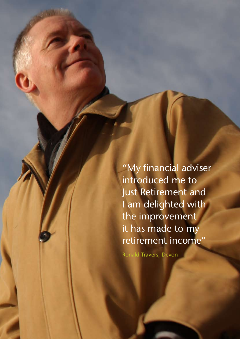"My financial adviser introduced me to Just Retirement and I am delighted with the improvement it has made to my retirement income"

Ronald Travers, Devon